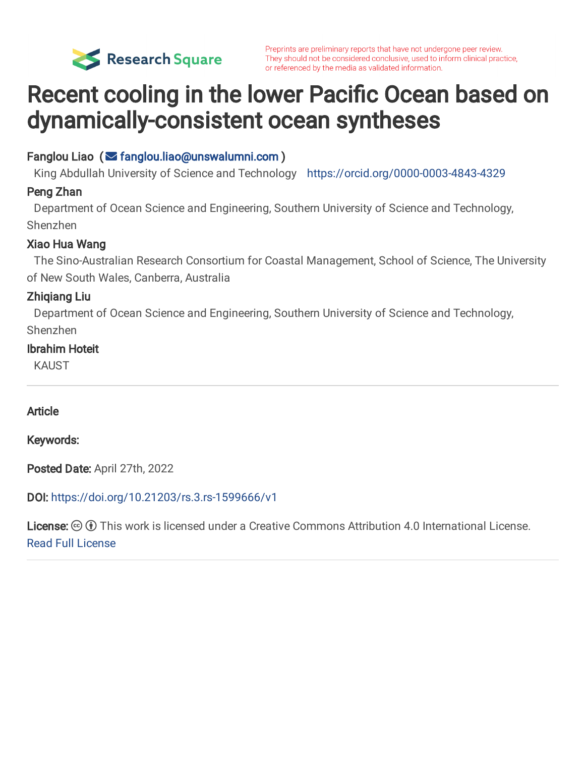

Preprints are preliminary reports that have not undergone peer review. They should not be considered conclusive, used to inform clinical practice, or referenced by the media as validated information.

# Recent cooling in the lower Pacific Ocean based on dynamically-consistent ocean syntheses

## Fanglou Liao ( $\leq$  fanglou.liao@unswalumni.com)

King Abdullah University of Science and Technology <https://orcid.org/0000-0003-4843-4329>

## Peng Zhan

Department of Ocean Science and Engineering, Southern University of Science and Technology, Shenzhen

## Xiao Hua Wang

The Sino-Australian Research Consortium for Coastal Management, School of Science, The University of New South Wales, Canberra, Australia

## Zhiqiang Liu

Department of Ocean Science and Engineering, Southern University of Science and Technology, Shenzhen

## Ibrahim Hoteit

KAUST

## Article

Keywords:

Posted Date: April 27th, 2022

DOI: <https://doi.org/10.21203/rs.3.rs-1599666/v1>

License:  $\odot$  (i) This work is licensed under a Creative Commons Attribution 4.0 International License. [Read Full License](https://creativecommons.org/licenses/by/4.0/)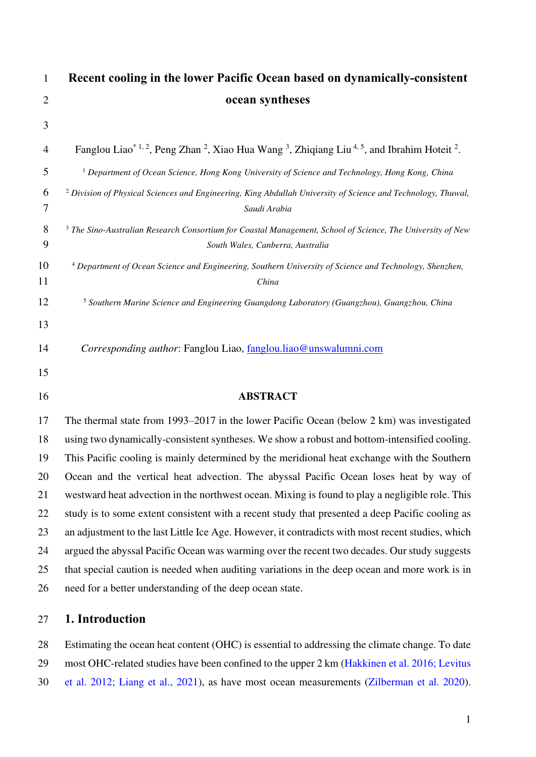| $\mathbf{1}$   | Recent cooling in the lower Pacific Ocean based on dynamically-consistent                                                                                 |
|----------------|-----------------------------------------------------------------------------------------------------------------------------------------------------------|
| $\overline{2}$ | ocean syntheses                                                                                                                                           |
| 3              |                                                                                                                                                           |
| 4              | Fanglou Liao <sup>*1, 2</sup> , Peng Zhan <sup>2</sup> , Xiao Hua Wang <sup>3</sup> , Zhiqiang Liu <sup>4, 5</sup> , and Ibrahim Hoteit <sup>2</sup> .    |
| 5              | <sup>1</sup> Department of Ocean Science, Hong Kong University of Science and Technology, Hong Kong, China                                                |
| 6<br>7         | <sup>2</sup> Division of Physical Sciences and Engineering, King Abdullah University of Science and Technology, Thuwal,<br>Saudi Arabia                   |
| 8<br>9         | <sup>3</sup> The Sino-Australian Research Consortium for Coastal Management, School of Science, The University of New<br>South Wales, Canberra, Australia |
| 10<br>11       | <sup>4</sup> Department of Ocean Science and Engineering, Southern University of Science and Technology, Shenzhen,<br>China                               |
| 12             | <sup>5</sup> Southern Marine Science and Engineering Guangdong Laboratory (Guangzhou), Guangzhou, China                                                   |
| 13             |                                                                                                                                                           |
| 14             | Corresponding author: Fanglou Liao, fanglou.liao@unswalumni.com                                                                                           |
| 15             |                                                                                                                                                           |
| 16             | <b>ABSTRACT</b>                                                                                                                                           |
| 17             | The thermal state from 1993–2017 in the lower Pacific Ocean (below 2 km) was investigated                                                                 |
| 18             | using two dynamically-consistent syntheses. We show a robust and bottom-intensified cooling.                                                              |
| 19             | This Pacific cooling is mainly determined by the meridional heat exchange with the Southern                                                               |
| 20             | Ocean and the vertical heat advection. The abyssal Pacific Ocean loses heat by way of                                                                     |
| 21             | westward heat advection in the northwest ocean. Mixing is found to play a negligible role. This                                                           |
| 22             | study is to some extent consistent with a recent study that presented a deep Pacific cooling as                                                           |
| 23             | an adjustment to the last Little Ice Age. However, it contradicts with most recent studies, which                                                         |
| 24             | argued the abyssal Pacific Ocean was warming over the recent two decades. Our study suggests                                                              |
| 25             | that special caution is needed when auditing variations in the deep ocean and more work is in                                                             |
| 26             | need for a better understanding of the deep ocean state.                                                                                                  |
|                |                                                                                                                                                           |

## 27 **1. Introduction**

28 Estimating the ocean heat content (OHC) is essential to addressing the climate change. To date 29 most OHC-related studies have been confined to the upper 2 km (Hakkinen et al. 2016; Levitus 30 et al. 2012; Liang et al., 2021), as have most ocean measurements (Zilberman et al. 2020).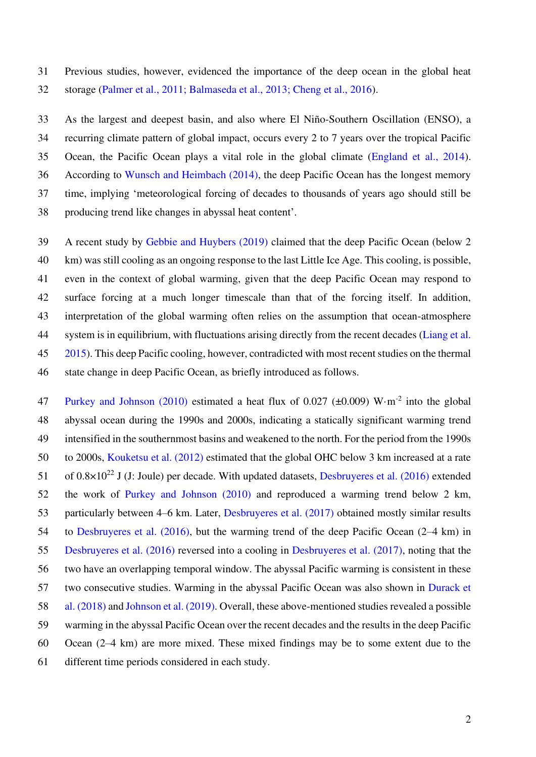31 Previous studies, however, evidenced the importance of the deep ocean in the global heat 32 storage (Palmer et al., 2011; Balmaseda et al., 2013; Cheng et al., 2016).

33 As the largest and deepest basin, and also where El Niño-Southern Oscillation (ENSO), a 34 recurring climate pattern of global impact, occurs every 2 to 7 years over the tropical Pacific 35 Ocean, the Pacific Ocean plays a vital role in the global climate (England et al., 2014). 36 According to Wunsch and Heimbach (2014), the deep Pacific Ocean has the longest memory 37 time, implying 'meteorological forcing of decades to thousands of years ago should still be 38 producing trend like changes in abyssal heat content'.

39 A recent study by Gebbie and Huybers (2019) claimed that the deep Pacific Ocean (below 2 40 km) was still cooling as an ongoing response to the last Little Ice Age. This cooling, is possible, 41 even in the context of global warming, given that the deep Pacific Ocean may respond to 42 surface forcing at a much longer timescale than that of the forcing itself. In addition, 43 interpretation of the global warming often relies on the assumption that ocean-atmosphere 44 system is in equilibrium, with fluctuations arising directly from the recent decades (Liang et al. 45 2015). This deep Pacific cooling, however, contradicted with most recent studies on the thermal 46 state change in deep Pacific Ocean, as briefly introduced as follows.

47 Purkey and Johnson (2010) estimated a heat flux of 0.027 ( $\pm$ 0.009) W·m<sup>-2</sup> into the global 48 abyssal ocean during the 1990s and 2000s, indicating a statically significant warming trend 49 intensified in the southernmost basins and weakened to the north. For the period from the 1990s 50 to 2000s, Kouketsu et al. (2012) estimated that the global OHC below 3 km increased at a rate 51 of  $0.8\times10^{22}$  J (J: Joule) per decade. With updated datasets, Desbruyeres et al. (2016) extended 52 the work of Purkey and Johnson (2010) and reproduced a warming trend below 2 km, 53 particularly between 4–6 km. Later, Desbruyeres et al. (2017) obtained mostly similar results 54 to Desbruyeres et al. (2016), but the warming trend of the deep Pacific Ocean (2–4 km) in 55 Desbruyeres et al. (2016) reversed into a cooling in Desbruyeres et al. (2017), noting that the 56 two have an overlapping temporal window. The abyssal Pacific warming is consistent in these 57 two consecutive studies. Warming in the abyssal Pacific Ocean was also shown in Durack et 58 al. (2018) and Johnson et al. (2019). Overall, these above-mentioned studies revealed a possible 59 warming in the abyssal Pacific Ocean over the recent decades and the results in the deep Pacific 60 Ocean (2–4 km) are more mixed. These mixed findings may be to some extent due to the 61 different time periods considered in each study.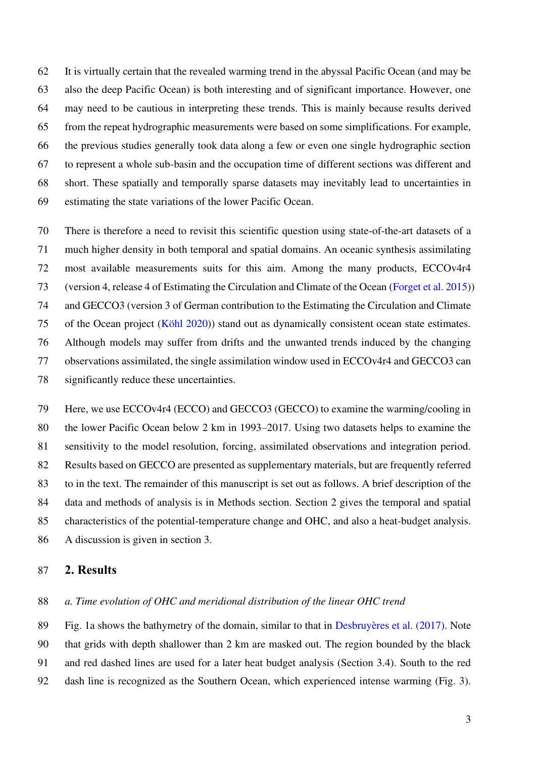62 It is virtually certain that the revealed warming trend in the abyssal Pacific Ocean (and may be 63 also the deep Pacific Ocean) is both interesting and of significant importance. However, one 64 may need to be cautious in interpreting these trends. This is mainly because results derived 65 from the repeat hydrographic measurements were based on some simplifications. For example, 66 the previous studies generally took data along a few or even one single hydrographic section 67 to represent a whole sub-basin and the occupation time of different sections was different and 68 short. These spatially and temporally sparse datasets may inevitably lead to uncertainties in 69 estimating the state variations of the lower Pacific Ocean.

70 There is therefore a need to revisit this scientific question using state-of-the-art datasets of a 71 much higher density in both temporal and spatial domains. An oceanic synthesis assimilating 72 most available measurements suits for this aim. Among the many products, ECCOv4r4 73 (version 4, release 4 of Estimating the Circulation and Climate of the Ocean (Forget et al. 2015)) 74 and GECCO3 (version 3 of German contribution to the Estimating the Circulation and Climate 75 of the Ocean project (Köhl 2020)) stand out as dynamically consistent ocean state estimates. 76 Although models may suffer from drifts and the unwanted trends induced by the changing 77 observations assimilated, the single assimilation window used in ECCOv4r4 and GECCO3 can 78 significantly reduce these uncertainties.

79 Here, we use ECCOv4r4 (ECCO) and GECCO3 (GECCO) to examine the warming/cooling in 80 the lower Pacific Ocean below 2 km in 1993–2017. Using two datasets helps to examine the 81 sensitivity to the model resolution, forcing, assimilated observations and integration period. 82 Results based on GECCO are presented as supplementary materials, but are frequently referred 83 to in the text. The remainder of this manuscript is set out as follows. A brief description of the 84 data and methods of analysis is in Methods section. Section 2 gives the temporal and spatial 85 characteristics of the potential-temperature change and OHC, and also a heat-budget analysis. 86 A discussion is given in section 3.

#### 87 **2. Results**

#### 88 *a. Time evolution of OHC and meridional distribution of the linear OHC trend*

89 Fig. 1a shows the bathymetry of the domain, similar to that in Desbruyères et al. (2017). Note 90 that grids with depth shallower than 2 km are masked out. The region bounded by the black 91 and red dashed lines are used for a later heat budget analysis (Section 3.4). South to the red 92 dash line is recognized as the Southern Ocean, which experienced intense warming (Fig. 3).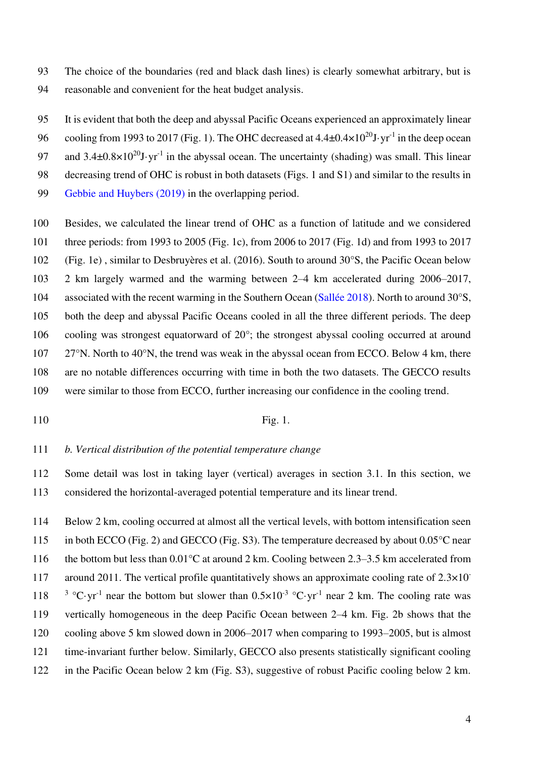93 The choice of the boundaries (red and black dash lines) is clearly somewhat arbitrary, but is 94 reasonable and convenient for the heat budget analysis.

95 It is evident that both the deep and abyssal Pacific Oceans experienced an approximately linear 96 cooling from 1993 to 2017 (Fig. 1). The OHC decreased at  $4.4\pm0.4\times10^{20}$ J·yr<sup>-1</sup> in the deep ocean

97 and  $3.4\pm0.8\times10^{20}$ J·yr<sup>-1</sup> in the abyssal ocean. The uncertainty (shading) was small. This linear

98 decreasing trend of OHC is robust in both datasets (Figs. 1 and S1) and similar to the results in

- 99 Gebbie and Huybers (2019) in the overlapping period.
- 100 Besides, we calculated the linear trend of OHC as a function of latitude and we considered 101 three periods: from 1993 to 2005 (Fig. 1c), from 2006 to 2017 (Fig. 1d) and from 1993 to 2017 102 (Fig. 1e) , similar to Desbruyères et al. (2016). South to around 30°S, the Pacific Ocean below 103 2 km largely warmed and the warming between 2–4 km accelerated during 2006–2017, 104 associated with the recent warming in the Southern Ocean (Sallée 2018). North to around 30°S, 105 both the deep and abyssal Pacific Oceans cooled in all the three different periods. The deep 106 cooling was strongest equatorward of 20°; the strongest abyssal cooling occurred at around 107 27°N. North to 40°N, the trend was weak in the abyssal ocean from ECCO. Below 4 km, there 108 are no notable differences occurring with time in both the two datasets. The GECCO results 109 were similar to those from ECCO, further increasing our confidence in the cooling trend.
- 

#### 110 Fig. 1.

111 *b. Vertical distribution of the potential temperature change* 

112 Some detail was lost in taking layer (vertical) averages in section 3.1. In this section, we 113 considered the horizontal-averaged potential temperature and its linear trend.

114 Below 2 km, cooling occurred at almost all the vertical levels, with bottom intensification seen 115 in both ECCO (Fig. 2) and GECCO (Fig. S3). The temperature decreased by about 0.05°C near 116 the bottom but less than  $0.01^{\circ}$ C at around 2 km. Cooling between 2.3–3.5 km accelerated from around 2011. The vertical profile quantitatively shows an approximate cooling rate of  $2.3 \times 10^{-7}$ 117 118 <sup>3</sup> °C·yr<sup>-1</sup> near the bottom but slower than  $0.5 \times 10^{-3}$  °C·yr<sup>-1</sup> near 2 km. The cooling rate was 119 vertically homogeneous in the deep Pacific Ocean between 2–4 km. Fig. 2b shows that the 120 cooling above 5 km slowed down in 2006–2017 when comparing to 1993–2005, but is almost 121 time-invariant further below. Similarly, GECCO also presents statistically significant cooling 122 in the Pacific Ocean below 2 km (Fig. S3), suggestive of robust Pacific cooling below 2 km.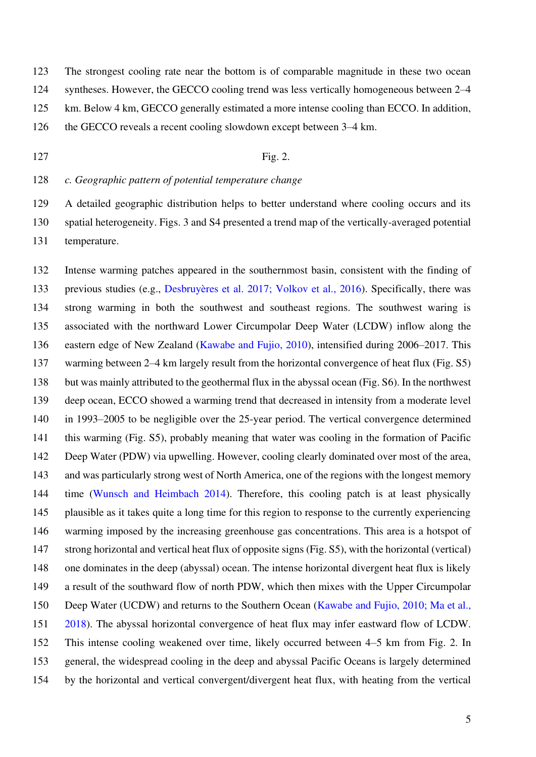123 The strongest cooling rate near the bottom is of comparable magnitude in these two ocean

124 syntheses. However, the GECCO cooling trend was less vertically homogeneous between 2–4

125 km. Below 4 km, GECCO generally estimated a more intense cooling than ECCO. In addition,

126 the GECCO reveals a recent cooling slowdown except between 3–4 km.

#### 127 **Fig. 2.**

128 *c. Geographic pattern of potential temperature change* 

129 A detailed geographic distribution helps to better understand where cooling occurs and its 130 spatial heterogeneity. Figs. 3 and S4 presented a trend map of the vertically-averaged potential 131 temperature.

132 Intense warming patches appeared in the southernmost basin, consistent with the finding of 133 previous studies (e.g., Desbruyères et al. 2017; Volkov et al., 2016). Specifically, there was 134 strong warming in both the southwest and southeast regions. The southwest waring is 135 associated with the northward Lower Circumpolar Deep Water (LCDW) inflow along the 136 eastern edge of New Zealand (Kawabe and Fujio, 2010), intensified during 2006–2017. This 137 warming between 2–4 km largely result from the horizontal convergence of heat flux (Fig. S5) 138 but was mainly attributed to the geothermal flux in the abyssal ocean (Fig. S6). In the northwest 139 deep ocean, ECCO showed a warming trend that decreased in intensity from a moderate level 140 in 1993–2005 to be negligible over the 25-year period. The vertical convergence determined 141 this warming (Fig. S5), probably meaning that water was cooling in the formation of Pacific 142 Deep Water (PDW) via upwelling. However, cooling clearly dominated over most of the area, 143 and was particularly strong west of North America, one of the regions with the longest memory 144 time (Wunsch and Heimbach 2014). Therefore, this cooling patch is at least physically 145 plausible as it takes quite a long time for this region to response to the currently experiencing 146 warming imposed by the increasing greenhouse gas concentrations. This area is a hotspot of 147 strong horizontal and vertical heat flux of opposite signs (Fig. S5), with the horizontal (vertical) 148 one dominates in the deep (abyssal) ocean. The intense horizontal divergent heat flux is likely 149 a result of the southward flow of north PDW, which then mixes with the Upper Circumpolar 150 Deep Water (UCDW) and returns to the Southern Ocean (Kawabe and Fujio, 2010; Ma et al., 151 2018). The abyssal horizontal convergence of heat flux may infer eastward flow of LCDW. 152 This intense cooling weakened over time, likely occurred between 4–5 km from Fig. 2. In 153 general, the widespread cooling in the deep and abyssal Pacific Oceans is largely determined 154 by the horizontal and vertical convergent/divergent heat flux, with heating from the vertical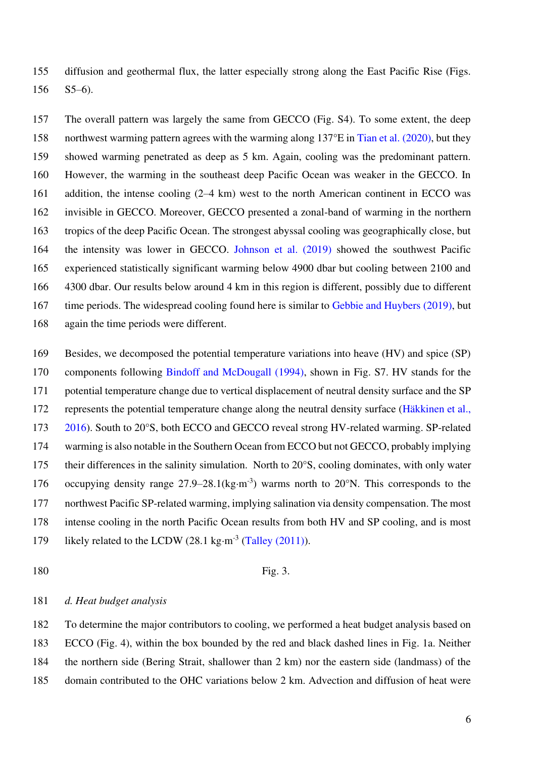155 diffusion and geothermal flux, the latter especially strong along the East Pacific Rise (Figs. 156 S5–6).

157 The overall pattern was largely the same from GECCO (Fig. S4). To some extent, the deep 158 northwest warming pattern agrees with the warming along 137°E in Tian et al. (2020), but they 159 showed warming penetrated as deep as 5 km. Again, cooling was the predominant pattern. 160 However, the warming in the southeast deep Pacific Ocean was weaker in the GECCO. In 161 addition, the intense cooling (2–4 km) west to the north American continent in ECCO was 162 invisible in GECCO. Moreover, GECCO presented a zonal-band of warming in the northern 163 tropics of the deep Pacific Ocean. The strongest abyssal cooling was geographically close, but 164 the intensity was lower in GECCO. Johnson et al. (2019) showed the southwest Pacific 165 experienced statistically significant warming below 4900 dbar but cooling between 2100 and 166 4300 dbar. Our results below around 4 km in this region is different, possibly due to different 167 time periods. The widespread cooling found here is similar to Gebbie and Huybers (2019), but 168 again the time periods were different.

169 Besides, we decomposed the potential temperature variations into heave (HV) and spice (SP) 170 components following Bindoff and McDougall (1994), shown in Fig. S7. HV stands for the 171 potential temperature change due to vertical displacement of neutral density surface and the SP 172 represents the potential temperature change along the neutral density surface (Häkkinen et al., 173 2016). South to 20°S, both ECCO and GECCO reveal strong HV-related warming. SP-related 174 warming is also notable in the Southern Ocean from ECCO but not GECCO, probably implying 175 their differences in the salinity simulation. North to 20°S, cooling dominates, with only water 176 occupying density range  $27.9-28.1$  (kg·m<sup>-3</sup>) warms north to  $20^{\circ}$ N. This corresponds to the 177 northwest Pacific SP-related warming, implying salination via density compensation. The most 178 intense cooling in the north Pacific Ocean results from both HV and SP cooling, and is most 179 likely related to the LCDW  $(28.1 \text{ kg} \cdot \text{m}^{-3} \text{ (Talley } (2011))$ .

#### 180 Fig. 3.

#### 181 *d. Heat budget analysis*

182 To determine the major contributors to cooling, we performed a heat budget analysis based on 183 ECCO (Fig. 4), within the box bounded by the red and black dashed lines in Fig. 1a. Neither 184 the northern side (Bering Strait, shallower than 2 km) nor the eastern side (landmass) of the 185 domain contributed to the OHC variations below 2 km. Advection and diffusion of heat were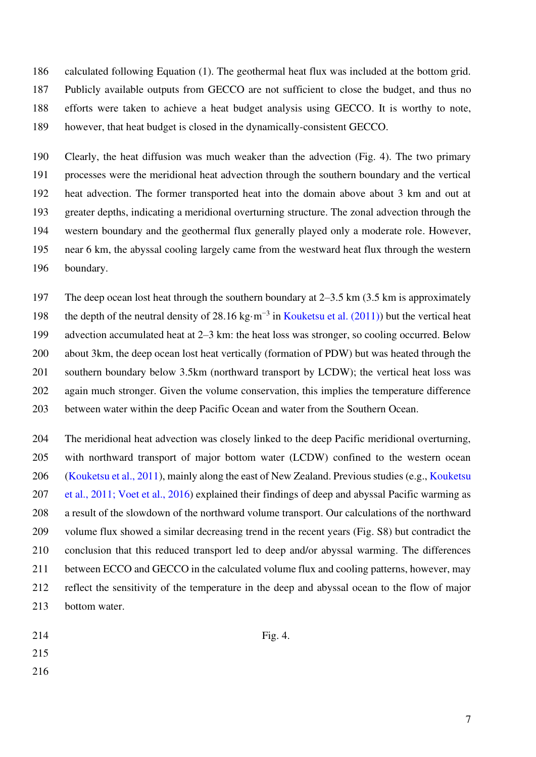186 calculated following Equation (1). The geothermal heat flux was included at the bottom grid. 187 Publicly available outputs from GECCO are not sufficient to close the budget, and thus no 188 efforts were taken to achieve a heat budget analysis using GECCO. It is worthy to note, 189 however, that heat budget is closed in the dynamically-consistent GECCO.

190 Clearly, the heat diffusion was much weaker than the advection (Fig. 4). The two primary 191 processes were the meridional heat advection through the southern boundary and the vertical 192 heat advection. The former transported heat into the domain above about 3 km and out at 193 greater depths, indicating a meridional overturning structure. The zonal advection through the 194 western boundary and the geothermal flux generally played only a moderate role. However, 195 near 6 km, the abyssal cooling largely came from the westward heat flux through the western 196 boundary.

197 The deep ocean lost heat through the southern boundary at 2–3.5 km (3.5 km is approximately 198 the depth of the neutral density of 28.16 kg⋅m<sup>-3</sup> in Kouketsu et al. (2011)) but the vertical heat 199 advection accumulated heat at 2–3 km: the heat loss was stronger, so cooling occurred. Below 200 about 3km, the deep ocean lost heat vertically (formation of PDW) but was heated through the 201 southern boundary below 3.5km (northward transport by LCDW); the vertical heat loss was 202 again much stronger. Given the volume conservation, this implies the temperature difference 203 between water within the deep Pacific Ocean and water from the Southern Ocean.

204 The meridional heat advection was closely linked to the deep Pacific meridional overturning, 205 with northward transport of major bottom water (LCDW) confined to the western ocean 206 (Kouketsu et al., 2011), mainly along the east of New Zealand. Previous studies (e.g., Kouketsu 207 et al., 2011; Voet et al., 2016) explained their findings of deep and abyssal Pacific warming as 208 a result of the slowdown of the northward volume transport. Our calculations of the northward 209 volume flux showed a similar decreasing trend in the recent years (Fig. S8) but contradict the 210 conclusion that this reduced transport led to deep and/or abyssal warming. The differences 211 between ECCO and GECCO in the calculated volume flux and cooling patterns, however, may 212 reflect the sensitivity of the temperature in the deep and abyssal ocean to the flow of major 213 bottom water.

- $214$  Fig. 4.
- 215
- 
- 216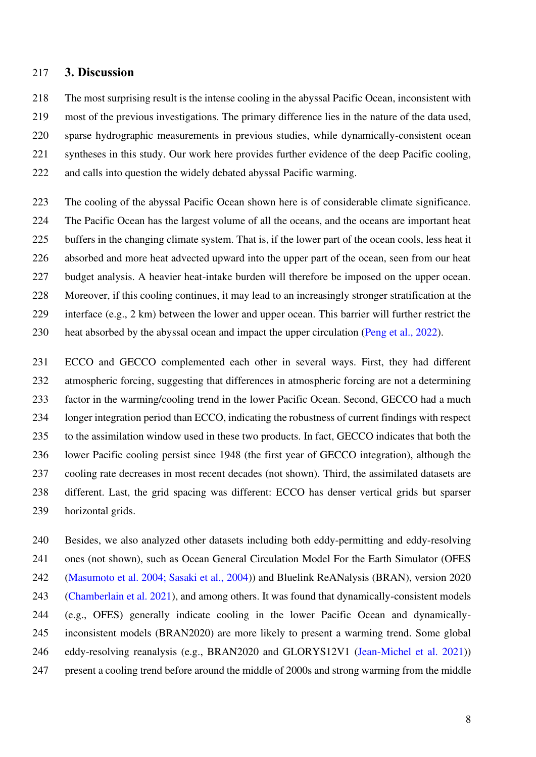## 217 **3. Discussion**

218 The most surprising result is the intense cooling in the abyssal Pacific Ocean, inconsistent with 219 most of the previous investigations. The primary difference lies in the nature of the data used, 220 sparse hydrographic measurements in previous studies, while dynamically-consistent ocean 221 syntheses in this study. Our work here provides further evidence of the deep Pacific cooling, 222 and calls into question the widely debated abyssal Pacific warming.

223 The cooling of the abyssal Pacific Ocean shown here is of considerable climate significance. 224 The Pacific Ocean has the largest volume of all the oceans, and the oceans are important heat 225 buffers in the changing climate system. That is, if the lower part of the ocean cools, less heat it 226 absorbed and more heat advected upward into the upper part of the ocean, seen from our heat 227 budget analysis. A heavier heat-intake burden will therefore be imposed on the upper ocean. 228 Moreover, if this cooling continues, it may lead to an increasingly stronger stratification at the 229 interface (e.g., 2 km) between the lower and upper ocean. This barrier will further restrict the 230 heat absorbed by the abyssal ocean and impact the upper circulation (Peng et al., 2022).

231 ECCO and GECCO complemented each other in several ways. First, they had different 232 atmospheric forcing, suggesting that differences in atmospheric forcing are not a determining 233 factor in the warming/cooling trend in the lower Pacific Ocean. Second, GECCO had a much 234 longer integration period than ECCO, indicating the robustness of current findings with respect 235 to the assimilation window used in these two products. In fact, GECCO indicates that both the 236 lower Pacific cooling persist since 1948 (the first year of GECCO integration), although the 237 cooling rate decreases in most recent decades (not shown). Third, the assimilated datasets are 238 different. Last, the grid spacing was different: ECCO has denser vertical grids but sparser 239 horizontal grids.

240 Besides, we also analyzed other datasets including both eddy-permitting and eddy-resolving 241 ones (not shown), such as Ocean General Circulation Model For the Earth Simulator (OFES 242 (Masumoto et al. 2004; Sasaki et al., 2004)) and Bluelink ReANalysis (BRAN), version 2020 243 (Chamberlain et al. 2021), and among others. It was found that dynamically-consistent models 244 (e.g., OFES) generally indicate cooling in the lower Pacific Ocean and dynamically-245 inconsistent models (BRAN2020) are more likely to present a warming trend. Some global 246 eddy-resolving reanalysis (e.g., BRAN2020 and GLORYS12V1 (Jean-Michel et al. 2021)) 247 present a cooling trend before around the middle of 2000s and strong warming from the middle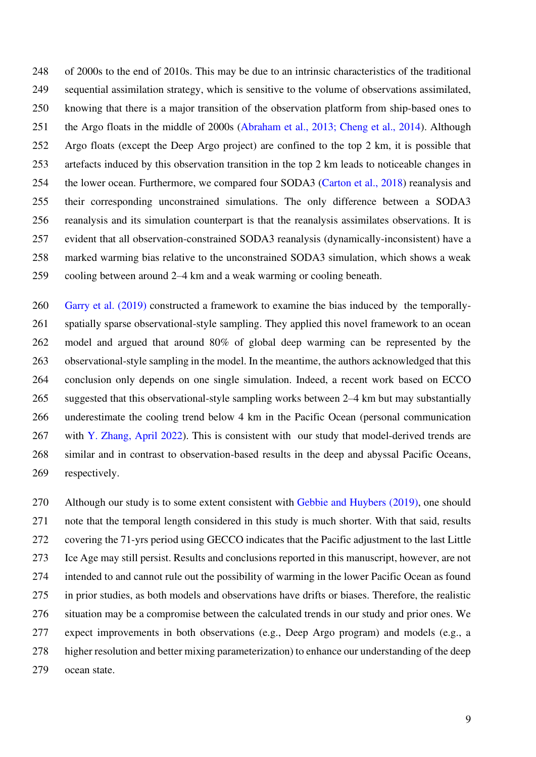248 of 2000s to the end of 2010s. This may be due to an intrinsic characteristics of the traditional 249 sequential assimilation strategy, which is sensitive to the volume of observations assimilated, 250 knowing that there is a major transition of the observation platform from ship-based ones to 251 the Argo floats in the middle of 2000s (Abraham et al., 2013; Cheng et al., 2014). Although 252 Argo floats (except the Deep Argo project) are confined to the top 2 km, it is possible that 253 artefacts induced by this observation transition in the top 2 km leads to noticeable changes in 254 the lower ocean. Furthermore, we compared four SODA3 (Carton et al., 2018) reanalysis and 255 their corresponding unconstrained simulations. The only difference between a SODA3 256 reanalysis and its simulation counterpart is that the reanalysis assimilates observations. It is 257 evident that all observation-constrained SODA3 reanalysis (dynamically-inconsistent) have a 258 marked warming bias relative to the unconstrained SODA3 simulation, which shows a weak 259 cooling between around 2–4 km and a weak warming or cooling beneath.

260 Garry et al. (2019) constructed a framework to examine the bias induced by the temporally-261 spatially sparse observational-style sampling. They applied this novel framework to an ocean 262 model and argued that around 80% of global deep warming can be represented by the 263 observational-style sampling in the model. In the meantime, the authors acknowledged that this 264 conclusion only depends on one single simulation. Indeed, a recent work based on ECCO 265 suggested that this observational-style sampling works between 2–4 km but may substantially 266 underestimate the cooling trend below 4 km in the Pacific Ocean (personal communication 267 with Y. Zhang, April 2022). This is consistent with our study that model-derived trends are 268 similar and in contrast to observation-based results in the deep and abyssal Pacific Oceans, 269 respectively.

270 Although our study is to some extent consistent with Gebbie and Huybers (2019), one should 271 note that the temporal length considered in this study is much shorter. With that said, results 272 covering the 71-yrs period using GECCO indicates that the Pacific adjustment to the last Little 273 Ice Age may still persist. Results and conclusions reported in this manuscript, however, are not 274 intended to and cannot rule out the possibility of warming in the lower Pacific Ocean as found 275 in prior studies, as both models and observations have drifts or biases. Therefore, the realistic 276 situation may be a compromise between the calculated trends in our study and prior ones. We 277 expect improvements in both observations (e.g., Deep Argo program) and models (e.g., a 278 higher resolution and better mixing parameterization) to enhance our understanding of the deep 279 ocean state.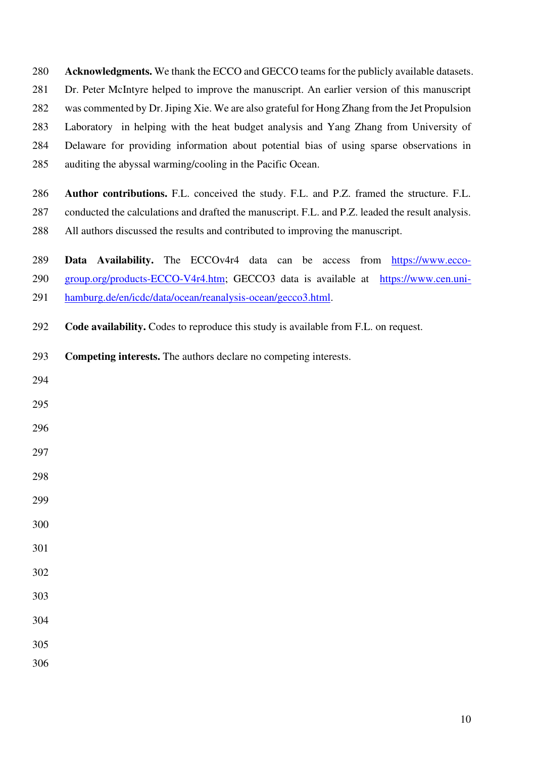**Acknowledgments.** We thank the ECCO and GECCO teams for the publicly available datasets. 281 Dr. Peter McIntyre helped to improve the manuscript. An earlier version of this manuscript 282 was commented by Dr. Jiping Xie. We are also grateful for Hong Zhang from the Jet Propulsion 283 Laboratory in helping with the heat budget analysis and Yang Zhang from University of 284 Delaware for providing information about potential bias of using sparse observations in 285 auditing the abyssal warming/cooling in the Pacific Ocean.

**Author contributions.** F.L. conceived the study. F.L. and P.Z. framed the structure. F.L. 287 conducted the calculations and drafted the manuscript. F.L. and P.Z. leaded the result analysis. 288 All authors discussed the results and contributed to improving the manuscript.

**Data Availability.** The ECCOv4r4 data can be access from [https://www.ecco-](https://www.ecco-group.org/products-ECCO-V4r4.htm)[group.org/products-ECCO-V4r4.htm;](https://www.ecco-group.org/products-ECCO-V4r4.htm) GECCO3 data is available at [https://www.cen.uni-](https://www.cen.uni-hamburg.de/en/icdc/data/ocean/reanalysis-ocean/gecco3.html)[hamburg.de/en/icdc/data/ocean/reanalysis-ocean/gecco3.html.](https://www.cen.uni-hamburg.de/en/icdc/data/ocean/reanalysis-ocean/gecco3.html)

**Code availability.** Codes to reproduce this study is available from F.L. on request.

**Competing interests.** The authors declare no competing interests.

- 
- 
- 
- 
- 
- 
- 
- 
- 
- 
- 
- 
- 
-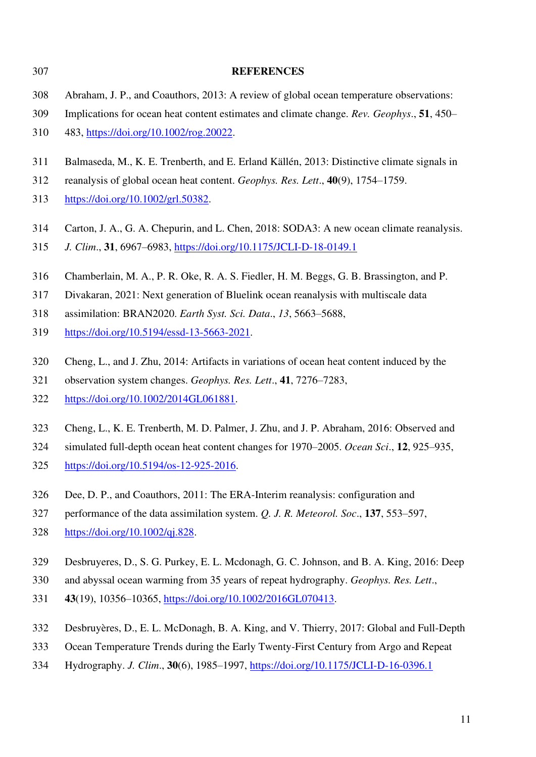| 307 | <b>REFERENCES</b>                                                                          |
|-----|--------------------------------------------------------------------------------------------|
| 308 | Abraham, J. P., and Coauthors, 2013: A review of global ocean temperature observations:    |
| 309 | Implications for ocean heat content estimates and climate change. Rev. Geophys., 51, 450–  |
| 310 | 483, https://doi.org/10.1002/rog.20022.                                                    |
| 311 | Balmaseda, M., K. E. Trenberth, and E. Erland Källén, 2013: Distinctive climate signals in |
| 312 | reanalysis of global ocean heat content. <i>Geophys. Res. Lett.</i> , 40(9), 1754–1759.    |
| 313 | https://doi.org/10.1002/grl.50382.                                                         |
| 314 | Carton, J. A., G. A. Chepurin, and L. Chen, 2018: SODA3: A new ocean climate reanalysis.   |
| 315 | J. Clim., 31, 6967-6983, https://doi.org/10.1175/JCLI-D-18-0149.1                          |
| 316 | Chamberlain, M. A., P. R. Oke, R. A. S. Fiedler, H. M. Beggs, G. B. Brassington, and P.    |
| 317 | Divakaran, 2021: Next generation of Bluelink ocean reanalysis with multiscale data         |
| 318 | assimilation: BRAN2020. Earth Syst. Sci. Data., 13, 5663-5688,                             |
| 319 | https://doi.org/10.5194/essd-13-5663-2021.                                                 |
| 320 | Cheng, L., and J. Zhu, 2014: Artifacts in variations of ocean heat content induced by the  |
| 321 | observation system changes. Geophys. Res. Lett., 41, 7276–7283,                            |
| 322 | https://doi.org/10.1002/2014GL061881.                                                      |
| 323 | Cheng, L., K. E. Trenberth, M. D. Palmer, J. Zhu, and J. P. Abraham, 2016: Observed and    |
| 324 | simulated full-depth ocean heat content changes for 1970–2005. Ocean Sci., 12, 925–935,    |
| 325 | https://doi.org/10.5194/os-12-925-2016.                                                    |
| 326 | Dee, D. P., and Coauthors, 2011: The ERA-Interim reanalysis: configuration and             |
| 327 | performance of the data assimilation system. Q. J. R. Meteorol. Soc., 137, 553–597,        |
| 328 | https://doi.org/10.1002/qj.828.                                                            |
| 329 | Desbruyeres, D., S. G. Purkey, E. L. Mcdonagh, G. C. Johnson, and B. A. King, 2016: Deep   |
| 330 | and abyssal ocean warming from 35 years of repeat hydrography. Geophys. Res. Lett.,        |
| 331 | 43(19), 10356-10365, https://doi.org/10.1002/2016GL070413.                                 |
| 332 | Desbruyères, D., E. L. McDonagh, B. A. King, and V. Thierry, 2017: Global and Full-Depth   |

- 333 Ocean Temperature Trends during the Early Twenty-First Century from Argo and Repeat
- 334 Hydrography. *J. Clim*., **30**(6), 1985–1997,<https://doi.org/10.1175/JCLI-D-16-0396.1>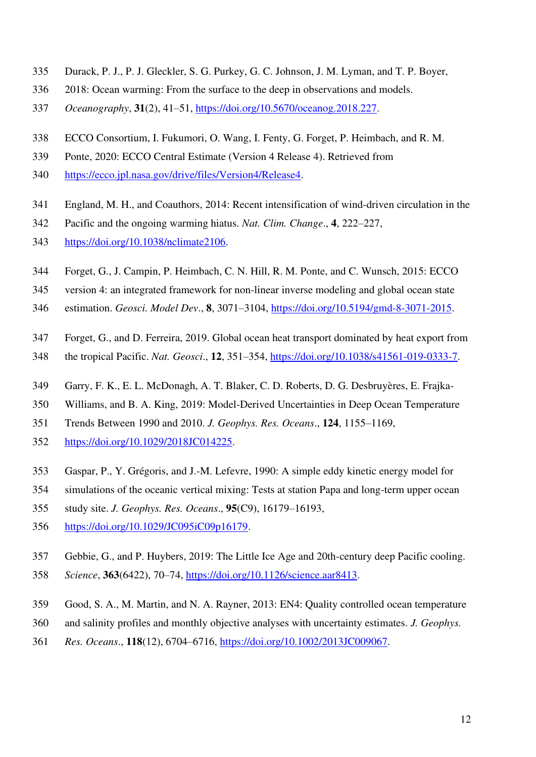- 335 Durack, P. J., P. J. Gleckler, S. G. Purkey, G. C. Johnson, J. M. Lyman, and T. P. Boyer,
- 336 2018: Ocean warming: From the surface to the deep in observations and models.
- 337 *Oceanography*, **31**(2), 41–51, [https://doi.org/10.5670/oceanog.2018.227.](https://doi.org/10.5670/oceanog.2018.227)
- 338 ECCO Consortium, I. Fukumori, O. Wang, I. Fenty, G. Forget, P. Heimbach, and R. M.
- 339 Ponte, 2020: ECCO Central Estimate (Version 4 Release 4). Retrieved from
- 340 [https://ecco.jpl.nasa.gov/drive/files/Version4/Release4.](https://ecco.jpl.nasa.gov/drive/files/Version4/Release4)
- 341 England, M. H., and Coauthors, 2014: Recent intensification of wind-driven circulation in the
- 342 Pacific and the ongoing warming hiatus. *Nat. Clim. Change*., **4**, 222–227,
- 343 [https://doi.org/10.1038/nclimate2106.](https://doi.org/10.1038/nclimate2106)
- 344 Forget, G., J. Campin, P. Heimbach, C. N. Hill, R. M. Ponte, and C. Wunsch, 2015: ECCO
- 345 version 4: an integrated framework for non-linear inverse modeling and global ocean state
- 346 estimation. *Geosci. Model Dev*., **8**, 3071–3104, [https://doi.org/10.5194/gmd-8-3071-2015.](https://doi.org/10.5194/gmd-8-3071-2015)
- 347 Forget, G., and D. Ferreira, 2019. Global ocean heat transport dominated by heat export from
- 348 the tropical Pacific. *Nat. Geosci*., **12**, 351–354, [https://doi.org/10.1038/s41561-019-0333-7.](https://doi.org/10.1038/s41561-019-0333-7)
- 349 Garry, F. K., E. L. McDonagh, A. T. Blaker, C. D. Roberts, D. G. Desbruyères, E. Frajka-
- 350 Williams, and B. A. King, 2019: Model-Derived Uncertainties in Deep Ocean Temperature
- 351 Trends Between 1990 and 2010. *J. Geophys. Res. Oceans*., **124**, 1155–1169,
- 352 [https://doi.org/10.1029/2018JC014225.](https://doi.org/10.1029/2018JC014225)
- 353 Gaspar, P., Y. Grégoris, and J.-M. Lefevre, 1990: A simple eddy kinetic energy model for
- 354 simulations of the oceanic vertical mixing: Tests at station Papa and long-term upper ocean
- 355 study site. *J. Geophys. Res. Oceans*., **95**(C9), 16179–16193,
- 356 [https://doi.org/10.1029/JC095iC09p16179.](https://doi.org/10.1029/JC095iC09p16179)
- 357 Gebbie, G., and P. Huybers, 2019: The Little Ice Age and 20th-century deep Pacific cooling.
- 358 *Science*, **363**(6422), 70–74, [https://doi.org/10.1126/science.aar8413.](https://doi.org/10.1126/science.aar8413)
- 359 Good, S. A., M. Martin, and N. A. Rayner, 2013: EN4: Quality controlled ocean temperature
- 360 and salinity profiles and monthly objective analyses with uncertainty estimates. *J. Geophys.*
- 361 *Res. Oceans*., **118**(12), 6704–6716, [https://doi.org/10.1002/2013JC009067.](https://doi.org/10.1002/2013JC009067)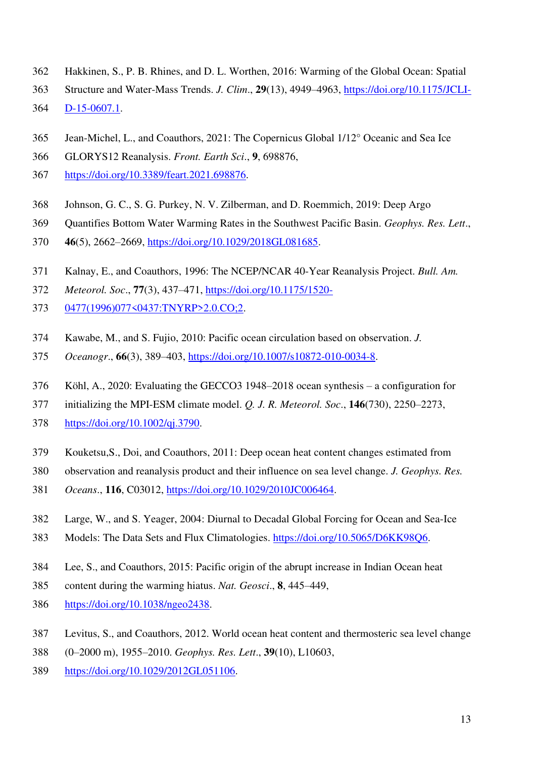- 362 Hakkinen, S., P. B. Rhines, and D. L. Worthen, 2016: Warming of the Global Ocean: Spatial
- 363 Structure and Water-Mass Trends. *J. Clim*., **29**(13), 4949–4963, [https://doi.org/10.1175/JCLI-](https://doi.org/10.1175/JCLI-D-15-0607.1)
- 364 [D-15-0607.1.](https://doi.org/10.1175/JCLI-D-15-0607.1)
- 365 Jean-Michel, L., and Coauthors, 2021: The Copernicus Global 1/12° Oceanic and Sea Ice
- 366 GLORYS12 Reanalysis. *Front. Earth Sci*., **9**, 698876,
- 367 [https://doi.org/10.3389/feart.2021.698876.](https://doi.org/10.3389/feart.2021.698876)
- 368 Johnson, G. C., S. G. Purkey, N. V. Zilberman, and D. Roemmich, 2019: Deep Argo
- 369 Quantifies Bottom Water Warming Rates in the Southwest Pacific Basin. *Geophys. Res. Lett*.,
- 370 **46**(5), 2662–2669, [https://doi.org/10.1029/2018GL081685.](https://doi.org/10.1029/2018GL081685)
- 371 Kalnay, E., and Coauthors, 1996: The NCEP/NCAR 40-Year Reanalysis Project. *Bull. Am.*
- 372 *Meteorol. Soc*., **77**(3), 437–471, [https://doi.org/10.1175/1520-](https://doi.org/10.1175/1520-0477(1996)077%3c0437:TNYRP%3e2.0.CO;2)
- 373 [0477\(1996\)077<0437:TNYRP>2.0.CO;2.](https://doi.org/10.1175/1520-0477(1996)077%3c0437:TNYRP%3e2.0.CO;2)
- 374 Kawabe, M., and S. Fujio, 2010: Pacific ocean circulation based on observation. *J.*
- 375 *Oceanogr*., **66**(3), 389–403, [https://doi.org/10.1007/s10872-010-0034-8.](https://doi.org/10.1007/s10872-010-0034-8)
- 376 Köhl, A., 2020: Evaluating the GECCO3 1948–2018 ocean synthesis a configuration for
- 377 initializing the MPI-ESM climate model. *Q. J. R. Meteorol. Soc*., **146**(730), 2250–2273,
- 378 [https://doi.org/10.1002/qj.3790.](https://doi.org/10.1002/qj.3790)
- 379 Kouketsu,S., Doi, and Coauthors, 2011: Deep ocean heat content changes estimated from
- 380 observation and reanalysis product and their influence on sea level change. *J. Geophys. Res.*
- 381 *Oceans*., **116**, C03012, [https://doi.org/10.1029/2010JC006464.](https://doi.org/10.1029/2010JC006464)
- 382 Large, W., and S. Yeager, 2004: Diurnal to Decadal Global Forcing for Ocean and Sea-Ice
- 383 Models: The Data Sets and Flux Climatologies. [https://doi.org/10.5065/D6KK98Q6.](https://doi.org/10.5065/D6KK98Q6)
- 384 Lee, S., and Coauthors, 2015: Pacific origin of the abrupt increase in Indian Ocean heat
- 385 content during the warming hiatus. *Nat. Geosci*., **8**, 445–449,
- 386 [https://doi.org/10.1038/ngeo2438.](https://doi.org/10.1038/ngeo2438)
- 387 Levitus, S., and Coauthors, 2012. World ocean heat content and thermosteric sea level change
- 388 (0–2000 m), 1955–2010. *Geophys. Res. Lett*., **39**(10), L10603,
- 389 [https://doi.org/10.1029/2012GL051106.](https://doi.org/10.1029/2012GL051106)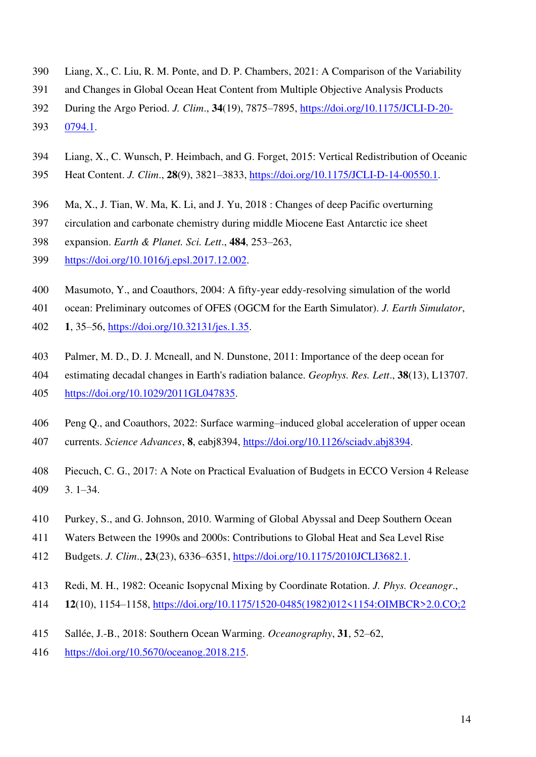- 390 Liang, X., C. Liu, R. M. Ponte, and D. P. Chambers, 2021: A Comparison of the Variability
- 391 and Changes in Global Ocean Heat Content from Multiple Objective Analysis Products
- 392 During the Argo Period. *J. Clim*., **34**(19), 7875–7895, [https://doi.org/10.1175/JCLI-D-20-](https://doi.org/10.1175/JCLI-D-20-0794.1)
- 393 [0794.1.](https://doi.org/10.1175/JCLI-D-20-0794.1)
- 394 Liang, X., C. Wunsch, P. Heimbach, and G. Forget, 2015: Vertical Redistribution of Oceanic
- 395 Heat Content. *J. Clim*., **28**(9), 3821–3833, [https://doi.org/10.1175/JCLI-D-14-00550.1.](https://doi.org/10.1175/JCLI-D-14-00550.1)
- 396 Ma, X., J. Tian, W. Ma, K. Li, and J. Yu, 2018 : Changes of deep Pacific overturning
- 397 circulation and carbonate chemistry during middle Miocene East Antarctic ice sheet
- 398 expansion. *Earth & Planet. Sci. Lett*., **484**, 253–263,
- 399 [https://doi.org/10.1016/j.epsl.2017.12.002.](https://doi.org/10.1016/j.epsl.2017.12.002)
- 400 Masumoto, Y., and Coauthors, 2004: A fifty-year eddy-resolving simulation of the world
- 401 ocean: Preliminary outcomes of OFES (OGCM for the Earth Simulator). *J. Earth Simulator*,
- 402 **1**, 35–56, [https://doi.org/10.32131/jes.1.35.](https://doi.org/10.32131/jes.1.35)
- 403 Palmer, M. D., D. J. Mcneall, and N. Dunstone, 2011: Importance of the deep ocean for
- 404 estimating decadal changes in Earth's radiation balance. *Geophys. Res. Lett*., **38**(13), L13707. 405 [https://doi.org/10.1029/2011GL047835.](https://doi.org/10.1029/2011GL047835)
- 406 Peng Q., and Coauthors, 2022: Surface warming–induced global acceleration of upper ocean
- 407 currents. *Science Advances*, **8**, eabj8394, [https://doi.org/10.1126/sciadv.abj8394.](https://doi.org/10.1126/sciadv.abj8394)
- 408 Piecuch, C. G., 2017: A Note on Practical Evaluation of Budgets in ECCO Version 4 Release 409 3. 1–34.
- 410 Purkey, S., and G. Johnson, 2010. Warming of Global Abyssal and Deep Southern Ocean
- 411 Waters Between the 1990s and 2000s: Contributions to Global Heat and Sea Level Rise
- 412 Budgets. *J. Clim*., **23**(23), 6336–6351, [https://doi.org/10.1175/2010JCLI3682.1.](https://doi.org/10.1175/2010JCLI3682.1)
- 413 Redi, M. H., 1982: Oceanic Isopycnal Mixing by Coordinate Rotation. *J. Phys. Oceanogr*.,
- 414 **12**(10), 1154–1158, [https://doi.org/10.1175/1520-0485\(1982\)012<1154:OIMBCR>2.0.CO;2](https://doi.org/10.1175/1520-0485(1982)012%3c1154:OIMBCR%3e2.0.CO;2)
- 415 Sallée, J.-B., 2018: Southern Ocean Warming. *Oceanography*, **31**, 52–62,
- 416 [https://doi.org/10.5670/oceanog.2018.215.](https://doi.org/10.5670/oceanog.2018.215)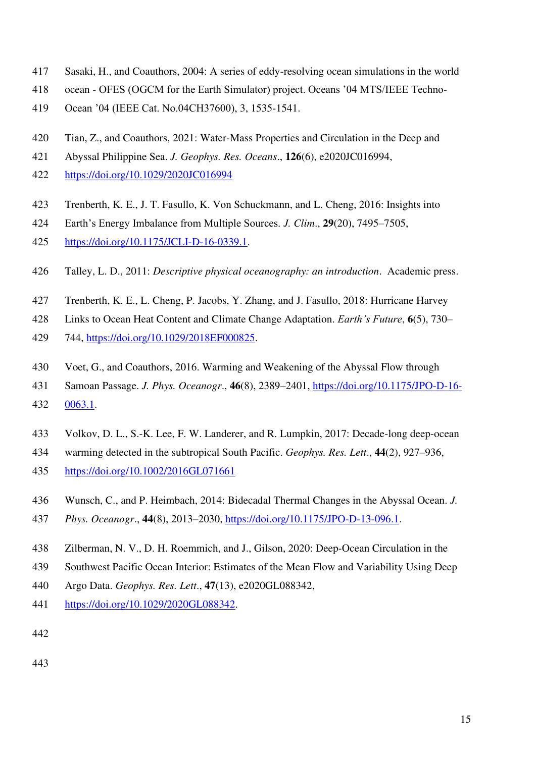- 417 Sasaki, H., and Coauthors, 2004: A series of eddy-resolving ocean simulations in the world
- 418 ocean OFES (OGCM for the Earth Simulator) project. Oceans '04 MTS/IEEE Techno-
- 419 Ocean '04 (IEEE Cat. No.04CH37600), 3, 1535-1541.
- 420 Tian, Z., and Coauthors, 2021: Water-Mass Properties and Circulation in the Deep and
- 421 Abyssal Philippine Sea. *J. Geophys. Res. Oceans*., **126**(6), e2020JC016994,
- 422 <https://doi.org/10.1029/2020JC016994>
- 423 Trenberth, K. E., J. T. Fasullo, K. Von Schuckmann, and L. Cheng, 2016: Insights into
- 424 Earth's Energy Imbalance from Multiple Sources. *J. Clim*., **29**(20), 7495–7505,
- 425 [https://doi.org/10.1175/JCLI-D-16-0339.1.](https://doi.org/10.1175/JCLI-D-16-0339.1)
- 426 Talley, L. D., 2011: *Descriptive physical oceanography: an introduction*. Academic press.
- 427 Trenberth, K. E., L. Cheng, P. Jacobs, Y. Zhang, and J. Fasullo, 2018: Hurricane Harvey
- 428 Links to Ocean Heat Content and Climate Change Adaptation. *Earth's Future*, **6**(5), 730–
- 429 744, [https://doi.org/10.1029/2018EF000825.](https://doi.org/10.1029/2018EF000825)
- 430 Voet, G., and Coauthors, 2016. Warming and Weakening of the Abyssal Flow through
- 431 Samoan Passage. *J. Phys. Oceanogr*., **46**(8), 2389–2401, [https://doi.org/10.1175/JPO-D-16-](https://doi.org/10.1175/JPO-D-16-0063.1)
- 432 [0063.1.](https://doi.org/10.1175/JPO-D-16-0063.1)
- 433 Volkov, D. L., S.-K. Lee, F. W. Landerer, and R. Lumpkin, 2017: Decade-long deep-ocean
- 434 warming detected in the subtropical South Pacific. *Geophys. Res. Lett*., **44**(2), 927–936,
- 435 <https://doi.org/10.1002/2016GL071661>
- 436 Wunsch, C., and P. Heimbach, 2014: Bidecadal Thermal Changes in the Abyssal Ocean. *J.*
- 437 *Phys. Oceanogr*., **44**(8), 2013–2030, [https://doi.org/10.1175/JPO-D-13-096.1.](https://doi.org/10.1175/JPO-D-13-096.1)
- 438 Zilberman, N. V., D. H. Roemmich, and J., Gilson, 2020: Deep-Ocean Circulation in the
- 439 Southwest Pacific Ocean Interior: Estimates of the Mean Flow and Variability Using Deep
- 440 Argo Data. *Geophys. Res. Lett*., **47**(13), e2020GL088342,
- 441 [https://doi.org/10.1029/2020GL088342.](https://doi.org/10.1029/2020GL088342)
- 442
- 443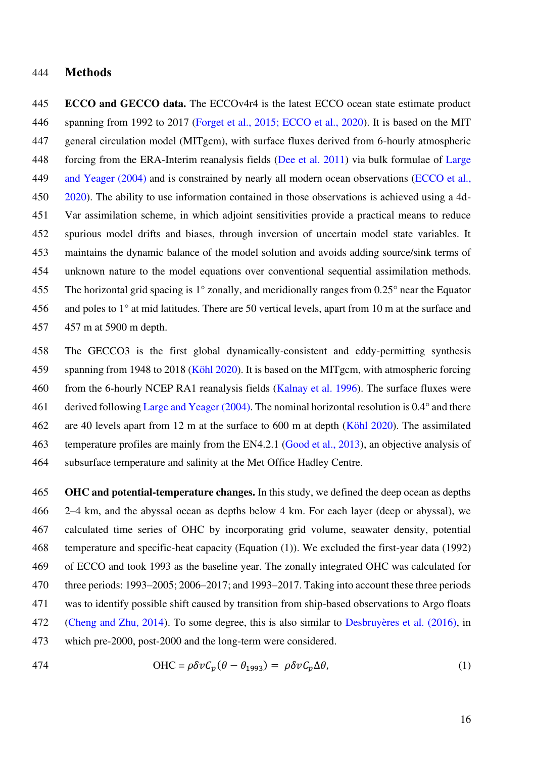#### 444 **Methods**

445 **ECCO and GECCO data.** The ECCOv4r4 is the latest ECCO ocean state estimate product 446 spanning from 1992 to 2017 (Forget et al., 2015; ECCO et al., 2020). It is based on the MIT 447 general circulation model (MITgcm), with surface fluxes derived from 6-hourly atmospheric 448 forcing from the ERA-Interim reanalysis fields (Dee et al. 2011) via bulk formulae of Large 449 and Yeager (2004) and is constrained by nearly all modern ocean observations (ECCO et al., 450 2020). The ability to use information contained in those observations is achieved using a 4d-451 Var assimilation scheme, in which adjoint sensitivities provide a practical means to reduce 452 spurious model drifts and biases, through inversion of uncertain model state variables. It 453 maintains the dynamic balance of the model solution and avoids adding source/sink terms of 454 unknown nature to the model equations over conventional sequential assimilation methods. 455 The horizontal grid spacing is 1° zonally, and meridionally ranges from 0.25° near the Equator 456 and poles to 1° at mid latitudes. There are 50 vertical levels, apart from 10 m at the surface and 457 457 m at 5900 m depth.

458 The GECCO3 is the first global dynamically-consistent and eddy-permitting synthesis 459 spanning from 1948 to 2018 (Köhl 2020). It is based on the MITgcm, with atmospheric forcing 460 from the 6-hourly NCEP RA1 reanalysis fields (Kalnay et al. 1996). The surface fluxes were 461 derived following Large and Yeager (2004). The nominal horizontal resolution is 0.4° and there 462 are 40 levels apart from 12 m at the surface to 600 m at depth (Köhl 2020). The assimilated 463 temperature profiles are mainly from the EN4.2.1 (Good et al., 2013), an objective analysis of 464 subsurface temperature and salinity at the Met Office Hadley Centre.

465 **OHC and potential-temperature changes.** In this study, we defined the deep ocean as depths 466 2–4 km, and the abyssal ocean as depths below 4 km. For each layer (deep or abyssal), we 467 calculated time series of OHC by incorporating grid volume, seawater density, potential 468 temperature and specific-heat capacity (Equation (1)). We excluded the first-year data (1992) 469 of ECCO and took 1993 as the baseline year. The zonally integrated OHC was calculated for 470 three periods: 1993–2005; 2006–2017; and 1993–2017. Taking into account these three periods 471 was to identify possible shift caused by transition from ship-based observations to Argo floats 472 (Cheng and Zhu, 2014). To some degree, this is also similar to Desbruyères et al. (2016), in 473 which pre-2000, post-2000 and the long-term were considered.

$$
OHC = \rho \delta \nu C_p (\theta - \theta_{1993}) = \rho \delta \nu C_p \Delta \theta, \tag{1}
$$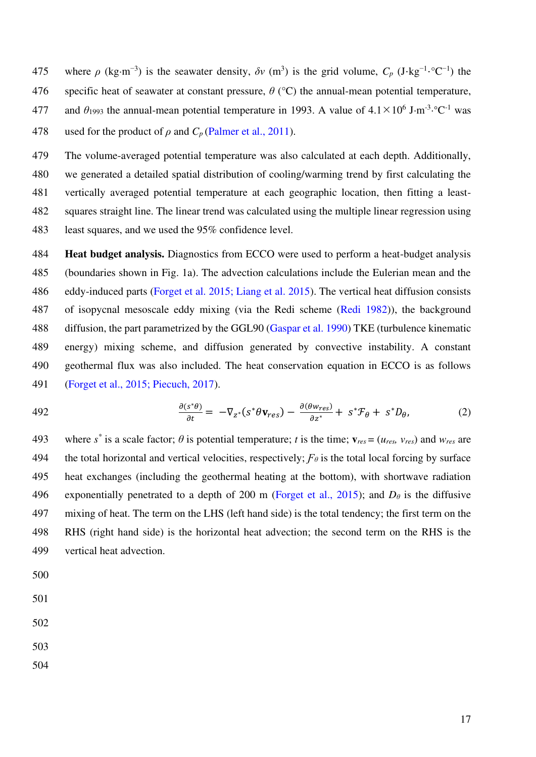- 475 where  $\rho$  (kg·m<sup>-3</sup>) is the seawater density,  $\delta v$  (m<sup>3</sup>) is the grid volume,  $C_p$  (J·kg<sup>-1</sup>·°C<sup>-1</sup>) the 476 specific heat of seawater at constant pressure, *θ* (°C) the annual-mean potential temperature,
- 477 and  $\theta_{1993}$  the annual-mean potential temperature in 1993. A value of  $4.1 \times 10^6$  J·m<sup>-3</sup>·°C<sup>-1</sup> was
- 478 used for the product of  $\rho$  and  $C_p$  (Palmer et al., 2011).

479 The volume-averaged potential temperature was also calculated at each depth. Additionally, 480 we generated a detailed spatial distribution of cooling/warming trend by first calculating the 481 vertically averaged potential temperature at each geographic location, then fitting a least-482 squares straight line. The linear trend was calculated using the multiple linear regression using 483 least squares, and we used the 95% confidence level.

484 **Heat budget analysis.** Diagnostics from ECCO were used to perform a heat-budget analysis 485 (boundaries shown in Fig. 1a). The advection calculations include the Eulerian mean and the 486 eddy-induced parts (Forget et al. 2015; Liang et al. 2015). The vertical heat diffusion consists 487 of isopycnal mesoscale eddy mixing (via the Redi scheme (Redi 1982)), the background 488 diffusion, the part parametrized by the GGL90 (Gaspar et al. 1990) TKE (turbulence kinematic 489 energy) mixing scheme, and diffusion generated by convective instability. A constant 490 geothermal flux was also included. The heat conservation equation in ECCO is as follows 491 (Forget et al., 2015; Piecuch, 2017).

492 
$$
\frac{\partial(s^*\theta)}{\partial t} = -\nabla_{z^*}(s^*\theta\mathbf{v}_{res}) - \frac{\partial(\theta w_{res})}{\partial z^*} + s^*\mathcal{F}_{\theta} + s^*D_{\theta},
$$
 (2)

493 where  $s^*$  is a scale factor;  $\theta$  is potential temperature; *t* is the time;  $\mathbf{v}_{res} = (u_{res}, v_{res})$  and  $w_{res}$  are 494 the total horizontal and vertical velocities, respectively;  $F_{\theta}$  is the total local forcing by surface 495 heat exchanges (including the geothermal heating at the bottom), with shortwave radiation 496 exponentially penetrated to a depth of 200 m (Forget et al., 2015); and  $D_\theta$  is the diffusive 497 mixing of heat. The term on the LHS (left hand side) is the total tendency; the first term on the 498 RHS (right hand side) is the horizontal heat advection; the second term on the RHS is the 499 vertical heat advection.

- 500
- 501
- 502
- 503
- 504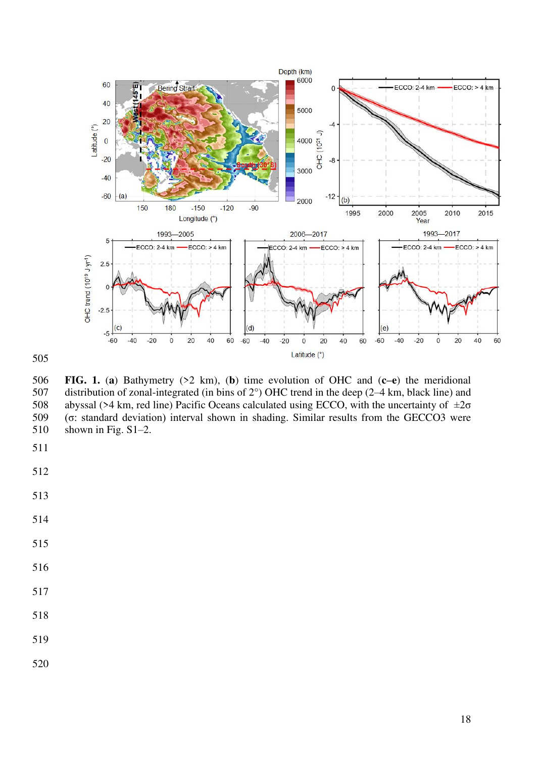

**FIG. 1.** (**a**) Bathymetry (>2 km), (**b**) time evolution of OHC and (**c–e**) the meridional 507 distribution of zonal-integrated (in bins of 2°) OHC trend in the deep (2–4 km, black line) and 508 abyssal (>4 km, red line) Pacific Oceans calculated using ECCO, with the uncertainty of  $\pm 2\sigma$ (σ: standard deviation) interval shown in shading. Similar results from the GECCO3 were 510 shown in Fig. S1–2.

- 
- 
- 
- 
- 
- 
- 
- 
- 
- 
-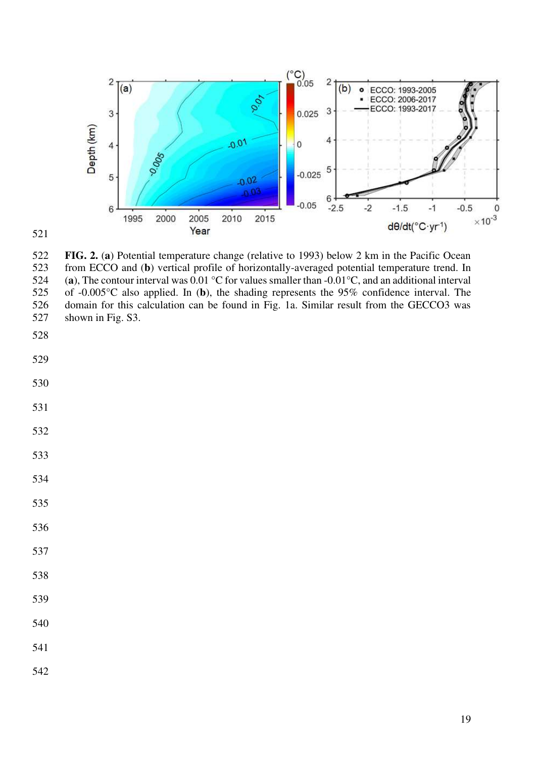



**FIG. 2.** (**a**) Potential temperature change (relative to 1993) below 2 km in the Pacific Ocean 523 from ECCO and (**b**) vertical profile of horizontally-averaged potential temperature trend. In 524 (a), The contour interval was  $0.01 \degree$ C for values smaller than  $-0.01 \degree$ C, and an additional interval of  $-0.005 \degree$ C also applied. In (b), the shading represents the 95% confidence interval. The of  $-0.005^{\circ}$ C also applied. In (b), the shading represents the 95% confidence interval. The 526 domain for this calculation can be found in Fig. 1a. Similar result from the GECCO3 was 527 shown in Fig. S3.

- 
- 
- 
- 
- 
- 
- 
- 
- 
- 
- 
- 
- 
- 
-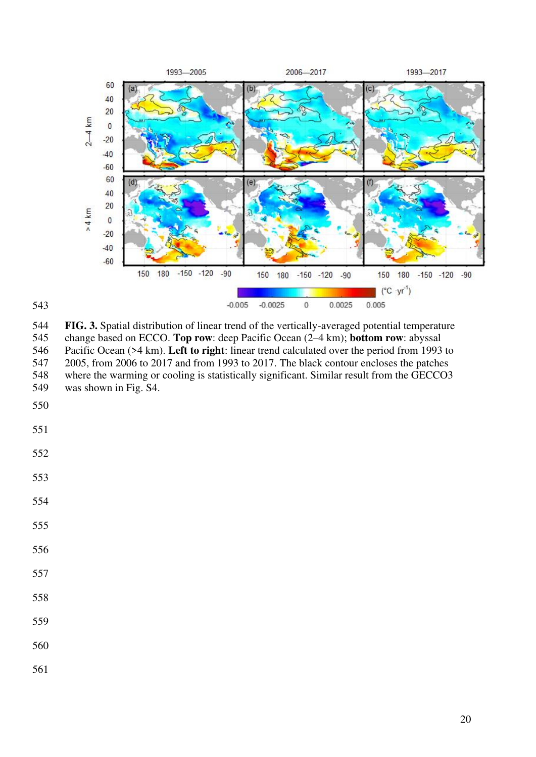

**FIG. 3.** Spatial distribution of linear trend of the vertically-averaged potential temperature 545 change based on ECCO. **Top row**: deep Pacific Ocean (2–4 km); **bottom row**: abyssal Pacific Ocean (>4 km). Left to right: linear trend calculated over the period from 1993 546 Pacific Ocean (>4 km). **Left to right**: linear trend calculated over the period from 1993 to 547 2005, from 2006 to 2017 and from 1993 to 2017. The black contour encloses the patches 548 where the warming or cooling is statistically significant. Similar result from the GECCO3 549 was shown in Fig. S4.

- 
- 

- 
- 
- 
-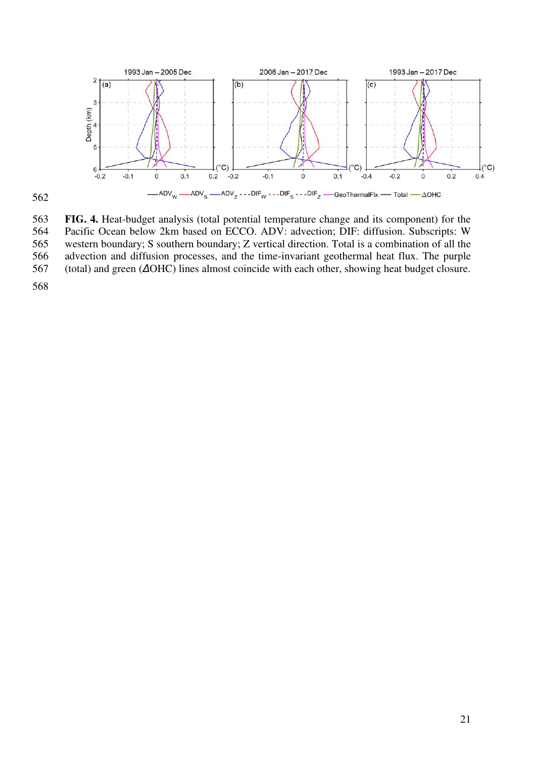

563 **FIG. 4.** Heat-budget analysis (total potential temperature change and its component) for the 564 Pacific Ocean below 2km based on ECCO. ADV: advection; DIF: diffusion. Subscripts: W 565 western boundary; S southern boundary; Z vertical direction. Total is a combination of all the 566 advection and diffusion processes, and the time-invariant geothermal heat flux. The purple 567 (total) and green (*Δ*OHC) lines almost coincide with each other, showing heat budget closure.